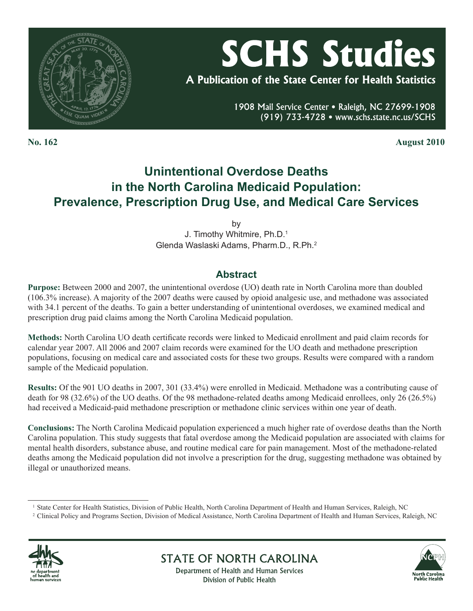

# **SCHS Studies**

A Publication of the State Center for Health Statistics

1908 Mail Service Center . Raleigh, NC 27699-1908 (919) 733-4728 • www.schs.state.nc.us/SCHS

**No. 162 August 2010**

## **Unintentional Overdose Deaths in the North Carolina Medicaid Population: Prevalence, Prescription Drug Use, and Medical Care Services**

by J. Timothy Whitmire, Ph.D.1 Glenda Waslaski Adams, Pharm.D., R.Ph.2

## **Abstract**

**Purpose:** Between 2000 and 2007, the unintentional overdose (UO) death rate in North Carolina more than doubled (106.3% increase). A majority of the 2007 deaths were caused by opioid analgesic use, and methadone was associated with 34.1 percent of the deaths. To gain a better understanding of unintentional overdoses, we examined medical and prescription drug paid claims among the North Carolina Medicaid population.

**Methods:** North Carolina UO death certificate records were linked to Medicaid enrollment and paid claim records for calendar year 2007. All 2006 and 2007 claim records were examined for the UO death and methadone prescription populations, focusing on medical care and associated costs for these two groups. Results were compared with a random sample of the Medicaid population.

**Results:** Of the 901 UO deaths in 2007, 301 (33.4%) were enrolled in Medicaid. Methadone was a contributing cause of death for 98 (32.6%) of the UO deaths. Of the 98 methadone-related deaths among Medicaid enrollees, only 26 (26.5%) had received a Medicaid-paid methadone prescription or methadone clinic services within one year of death.

**Conclusions:** The North Carolina Medicaid population experienced a much higher rate of overdose deaths than the North Carolina population. This study suggests that fatal overdose among the Medicaid population are associated with claims for mental health disorders, substance abuse, and routine medical care for pain management. Most of the methadone-related deaths among the Medicaid population did not involve a prescription for the drug, suggesting methadone was obtained by illegal or unauthorized means.

<sup>2</sup> Clinical Policy and Programs Section, Division of Medical Assistance, North Carolina Department of Health and Human Services, Raleigh, NC





Department of Health and Human Services Division of Public Health

**STATE OF NORTH CAROLINA** 

<sup>&</sup>lt;sup>1</sup> State Center for Health Statistics, Division of Public Health, North Carolina Department of Health and Human Services, Raleigh, NC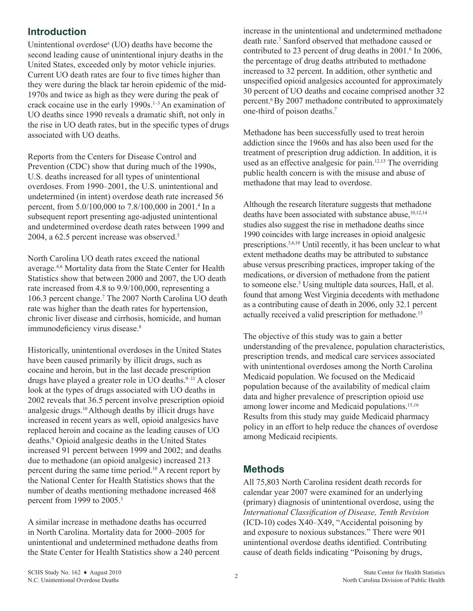## **Introduction**

Unintentional overdose<sup>a</sup> (UO) deaths have become the second leading cause of unintentional injury deaths in the United States, exceeded only by motor vehicle injuries. Current UO death rates are four to five times higher than they were during the black tar heroin epidemic of the mid-1970s and twice as high as they were during the peak of crack cocaine use in the early 1990s.<sup>1-3</sup> An examination of UO deaths since 1990 reveals a dramatic shift, not only in the rise in UO death rates, but in the specific types of drugs associated with UO deaths.

Reports from the Centers for Disease Control and Prevention (CDC) show that during much of the 1990s, U.S. deaths increased for all types of unintentional overdoses. From 1990–2001, the U.S. unintentional and undetermined (in intent) overdose death rate increased 56 percent, from 5.0/100,000 to 7.8/100,000 in 2001.4 In a subsequent report presenting age-adjusted unintentional and undetermined overdose death rates between 1999 and 2004, a 62.5 percent increase was observed.<sup>5</sup>

North Carolina UO death rates exceed the national average.4,6 Mortality data from the State Center for Health Statistics show that between 2000 and 2007, the UO death rate increased from 4.8 to 9.9/100,000, representing a 106.3 percent change.7 The 2007 North Carolina UO death rate was higher than the death rates for hypertension, chronic liver disease and cirrhosis, homicide, and human immunodeficiency virus disease.<sup>8</sup>

Historically, unintentional overdoses in the United States have been caused primarily by illicit drugs, such as cocaine and heroin, but in the last decade prescription drugs have played a greater role in UO deaths. $9-11$  A closer look at the types of drugs associated with UO deaths in 2002 reveals that 36.5 percent involve prescription opioid analgesic drugs.10 Although deaths by illicit drugs have increased in recent years as well, opioid analgesics have replaced heroin and cocaine as the leading causes of UO deaths.9 Opioid analgesic deaths in the United States increased 91 percent between 1999 and 2002; and deaths due to methadone (an opioid analgesic) increased 213 percent during the same time period.10 A recent report by the National Center for Health Statistics shows that the number of deaths mentioning methadone increased 468 percent from 1999 to 2005.<sup>3</sup>

A similar increase in methadone deaths has occurred in North Carolina. Mortality data for 2000–2005 for unintentional and undetermined methadone deaths from the State Center for Health Statistics show a 240 percent increase in the unintentional and undetermined methadone death rate.7 Sanford observed that methadone caused or contributed to 23 percent of drug deaths in 2001.<sup>6</sup> In 2006, the percentage of drug deaths attributed to methadone increased to 32 percent. In addition, other synthetic and unspecified opioid analgesics accounted for approximately 30 percent of UO deaths and cocaine comprised another 32 percent.6 By 2007 methadone contributed to approximately one-third of poison deaths.7

Methadone has been successfully used to treat heroin addiction since the 1960s and has also been used for the treatment of prescription drug addiction. In addition, it is used as an effective analgesic for pain.12,13 The overriding public health concern is with the misuse and abuse of methadone that may lead to overdose.

Although the research literature suggests that methadone deaths have been associated with substance abuse,<sup>10,12,14</sup> studies also suggest the rise in methadone deaths since 1990 coincides with large increases in opioid analgesic prescriptions.3,6,10 Until recently, it has been unclear to what extent methadone deaths may be attributed to substance abuse versus prescribing practices, improper taking of the medications, or diversion of methadone from the patient to someone else.<sup>3</sup> Using multiple data sources, Hall, et al. found that among West Virginia decedents with methadone as a contributing cause of death in 2006, only 32.1 percent actually received a valid prescription for methadone.15

The objective of this study was to gain a better understanding of the prevalence, population characteristics, prescription trends, and medical care services associated with unintentional overdoses among the North Carolina Medicaid population. We focused on the Medicaid population because of the availability of medical claim data and higher prevalence of prescription opioid use among lower income and Medicaid populations.15,16 Results from this study may guide Medicaid pharmacy policy in an effort to help reduce the chances of overdose among Medicaid recipients.

## **Methods**

All 75,803 North Carolina resident death records for calendar year 2007 were examined for an underlying (primary) diagnosis of unintentional overdose, using the *International Classification of Disease, Tenth Revision* (ICD-10) codes X40–X49, "Accidental poisoning by and exposure to noxious substances." There were 901 unintentional overdose deaths identified. Contributing cause of death fields indicating "Poisoning by drugs,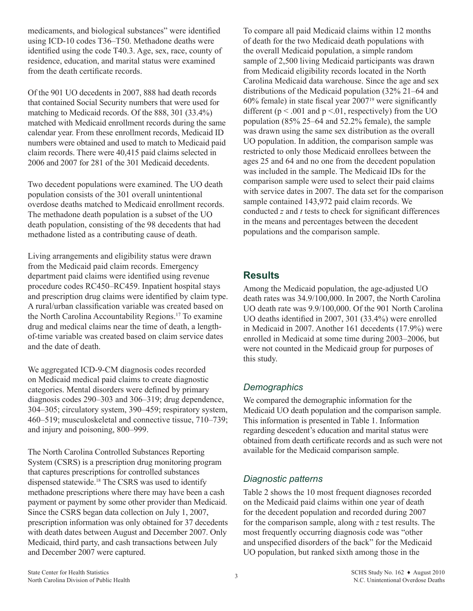medicaments, and biological substances" were identified using ICD-10 codes T36–T50. Methadone deaths were identified using the code T40.3. Age, sex, race, county of residence, education, and marital status were examined from the death certificate records.

Of the 901 UO decedents in 2007, 888 had death records that contained Social Security numbers that were used for matching to Medicaid records. Of the 888, 301 (33.4%) matched with Medicaid enrollment records during the same calendar year. From these enrollment records, Medicaid ID numbers were obtained and used to match to Medicaid paid claim records. There were 40,415 paid claims selected in 2006 and 2007 for 281 of the 301 Medicaid decedents.

Two decedent populations were examined. The UO death population consists of the 301 overall unintentional overdose deaths matched to Medicaid enrollment records. The methadone death population is a subset of the UO death population, consisting of the 98 decedents that had methadone listed as a contributing cause of death.

Living arrangements and eligibility status were drawn from the Medicaid paid claim records. Emergency department paid claims were identified using revenue procedure codes RC450–RC459. Inpatient hospital stays and prescription drug claims were identified by claim type. A rural/urban classification variable was created based on the North Carolina Accountability Regions.17 To examine drug and medical claims near the time of death, a lengthof-time variable was created based on claim service dates and the date of death.

We aggregated ICD-9-CM diagnosis codes recorded on Medicaid medical paid claims to create diagnostic categories. Mental disorders were defined by primary diagnosis codes 290–303 and 306–319; drug dependence, 304–305; circulatory system, 390–459; respiratory system, 460–519; musculoskeletal and connective tissue, 710–739; and injury and poisoning, 800–999.

The North Carolina Controlled Substances Reporting System (CSRS) is a prescription drug monitoring program that captures prescriptions for controlled substances dispensed statewide.18 The CSRS was used to identify methadone prescriptions where there may have been a cash payment or payment by some other provider than Medicaid. Since the CSRS began data collection on July 1, 2007, prescription information was only obtained for 37 decedents with death dates between August and December 2007. Only Medicaid, third party, and cash transactions between July and December 2007 were captured.

To compare all paid Medicaid claims within 12 months of death for the two Medicaid death populations with the overall Medicaid population, a simple random sample of 2,500 living Medicaid participants was drawn from Medicaid eligibility records located in the North Carolina Medicaid data warehouse. Since the age and sex distributions of the Medicaid population (32% 21–64 and 60% female) in state fiscal year 2007<sup>19</sup> were significantly different ( $p < .001$  and  $p < .01$ , respectively) from the UO population (85% 25–64 and 52.2% female), the sample was drawn using the same sex distribution as the overall UO population. In addition, the comparison sample was restricted to only those Medicaid enrollees between the ages 25 and 64 and no one from the decedent population was included in the sample. The Medicaid IDs for the comparison sample were used to select their paid claims with service dates in 2007. The data set for the comparison sample contained 143,972 paid claim records. We conducted *z* and *t* tests to check for significant differences in the means and percentages between the decedent populations and the comparison sample.

## **Results**

Among the Medicaid population, the age-adjusted UO death rates was 34.9/100,000. In 2007, the North Carolina UO death rate was 9.9/100,000. Of the 901 North Carolina UO deaths identified in 2007, 301 (33.4%) were enrolled in Medicaid in 2007. Another 161 decedents (17.9%) were enrolled in Medicaid at some time during 2003–2006, but were not counted in the Medicaid group for purposes of this study.

## *Demographics*

We compared the demographic information for the Medicaid UO death population and the comparison sample. This information is presented in Table 1. Information regarding descedent's education and marital status were obtained from death certificate records and as such were not available for the Medicaid comparison sample.

## *Diagnostic patterns*

Table 2 shows the 10 most frequent diagnoses recorded on the Medicaid paid claims within one year of death for the decedent population and recorded during 2007 for the comparison sample, along with *z* test results. The most frequently occurring diagnosis code was "other and unspecified disorders of the back" for the Medicaid UO population, but ranked sixth among those in the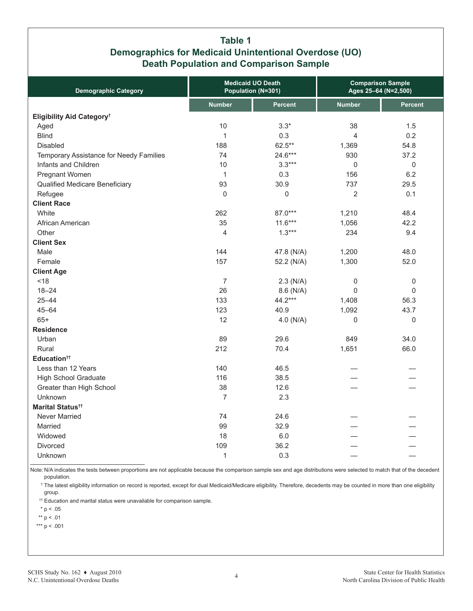## **Table 1 Demographics for Medicaid Unintentional Overdose (UO) Death Population and Comparison Sample**

| <b>Demographic Category</b>             |                | <b>Medicaid UO Death</b><br>Population (N=301) |                | <b>Comparison Sample</b><br>Ages 25-64 (N=2,500) |
|-----------------------------------------|----------------|------------------------------------------------|----------------|--------------------------------------------------|
|                                         | <b>Number</b>  | <b>Percent</b>                                 | <b>Number</b>  | <b>Percent</b>                                   |
| Eligibility Aid Category <sup>t</sup>   |                |                                                |                |                                                  |
| Aged                                    | 10             | $3.3*$                                         | 38             | 1.5                                              |
| <b>Blind</b>                            | $\mathbf{1}$   | 0.3                                            | 4              | 0.2                                              |
| Disabled                                | 188            | $62.5***$                                      | 1,369          | 54.8                                             |
| Temporary Assistance for Needy Families | 74             | 24.6***                                        | 930            | 37.2                                             |
| Infants and Children                    | 10             | $3.3***$                                       | $\overline{0}$ | $\mathsf 0$                                      |
| Pregnant Women                          | $\mathbf{1}$   | 0.3                                            | 156            | 6.2                                              |
| Qualified Medicare Beneficiary          | 93             | 30.9                                           | 737            | 29.5                                             |
| Refugee                                 | $\mathbf{0}$   | 0                                              | 2              | 0.1                                              |
| <b>Client Race</b>                      |                |                                                |                |                                                  |
| White                                   | 262            | 87.0***                                        | 1,210          | 48.4                                             |
| African American                        | 35             | $11.6***$                                      | 1,056          | 42.2                                             |
| Other                                   | 4              | $1.3***$                                       | 234            | 9.4                                              |
| <b>Client Sex</b>                       |                |                                                |                |                                                  |
| Male                                    | 144            | 47.8 (N/A)                                     | 1,200          | 48.0                                             |
| Female                                  | 157            | 52.2 (N/A)                                     | 1,300          | 52.0                                             |
| <b>Client Age</b>                       |                |                                                |                |                                                  |
| < 18                                    | $\overline{7}$ | $2.3$ (N/A)                                    | 0              | 0                                                |
| $18 - 24$                               | 26             | 8.6 (N/A)                                      | $\overline{0}$ | $\Omega$                                         |
| $25 - 44$                               | 133            | 44.2***                                        | 1,408          | 56.3                                             |
| $45 - 64$                               | 123            | 40.9                                           | 1,092          | 43.7                                             |
| $65+$                                   | 12             | $4.0$ (N/A)                                    | 0              | 0                                                |
| <b>Residence</b>                        |                |                                                |                |                                                  |
| Urban                                   | 89             | 29.6                                           | 849            | 34.0                                             |
| Rural                                   | 212            | 70.4                                           | 1,651          | 66.0                                             |
| Education <sup>tt</sup>                 |                |                                                |                |                                                  |
| Less than 12 Years                      | 140            | 46.5                                           |                |                                                  |
| <b>High School Graduate</b>             | 116            | 38.5                                           |                |                                                  |
| Greater than High School                | 38             | 12.6                                           |                |                                                  |
| Unknown                                 | $\overline{7}$ | 2.3                                            |                |                                                  |
| Marital Status <sup>tt</sup>            |                |                                                |                |                                                  |
| Never Married                           | 74             | 24.6                                           |                |                                                  |
| Married                                 | 99             | 32.9                                           |                |                                                  |
| Widowed                                 | 18             | 6.0                                            |                |                                                  |
| Divorced                                | 109            | 36.2                                           |                |                                                  |
| Unknown                                 | $\mathbf 1$    | 0.3                                            |                |                                                  |

Note: N/A indicates the tests between proportions are not applicable because the comparison sample sex and age distributions were selected to match that of the decedent population.

† The latest eligibility information on record is reported, except for dual Medicaid/Medicare eligibility. Therefore, decedents may be counted in more than one eligibility group.

<sup>††</sup> Education and marital status were unavailable for comparison sample.

 $*$  p < .05

\*\* p < .01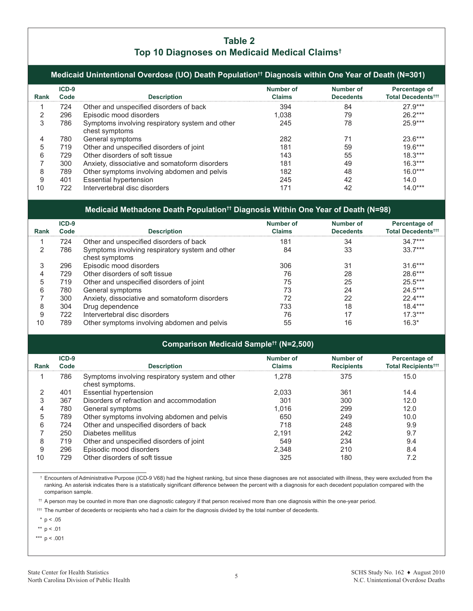## **Table 2 Top 10 Diagnoses on Medicaid Medical Claims†**

|      | Medicaid Unintentional Overdose (UO) Death Population <sup>††</sup> Diagnosis within One Year of Death (N=301) |                                                                   |                            |                               |                                                 |  |
|------|----------------------------------------------------------------------------------------------------------------|-------------------------------------------------------------------|----------------------------|-------------------------------|-------------------------------------------------|--|
| Rank | $ICD-9$<br>Code                                                                                                | <b>Description</b>                                                | Number of<br><b>Claims</b> | Number of<br><b>Decedents</b> | Percentage of<br>Total Decedents <sup>ttt</sup> |  |
|      | 724                                                                                                            | Other and unspecified disorders of back                           | 394                        | 84                            | $27.9***$                                       |  |
| っ    | 296                                                                                                            | Episodic mood disorders                                           | 1.038                      | 79                            | $26.2***$                                       |  |
| 3    | 786                                                                                                            | Symptoms involving respiratory system and other<br>chest symptoms | 245                        | 78                            | $25.9***$                                       |  |
| 4    | 780                                                                                                            | General symptoms                                                  | 282                        | 71                            | $23.6***$                                       |  |
| 5    | 719                                                                                                            | Other and unspecified disorders of joint                          | 181                        | 59                            | $19.6***$                                       |  |
| 6    | 729                                                                                                            | Other disorders of soft tissue                                    | 143                        | 55                            | $18.3***$                                       |  |
|      | 300                                                                                                            | Anxiety, dissociative and somatoform disorders                    | 181                        | 49                            | $16.3***$                                       |  |
| 8    | 789                                                                                                            | Other symptoms involving abdomen and pelvis                       | 182                        | 48                            | $16.0***$                                       |  |
| 9    | 401                                                                                                            | <b>Essential hypertension</b>                                     | 245                        | 42                            | 14.0                                            |  |
| 10   | 722                                                                                                            | Intervertebral disc disorders                                     | 171                        | 42                            | $14.0***$                                       |  |

#### **Medicaid Methadone Death Population†† Diagnosis Within One Year of Death (N=98)**

| <b>Rank</b> | $ICD-9$<br>Code | <b>Description</b>                                                | Number of<br>Claims | Number of<br><b>Decedents</b> | Percentage of<br><b>Total Decedents<sup>ttt</sup></b> |
|-------------|-----------------|-------------------------------------------------------------------|---------------------|-------------------------------|-------------------------------------------------------|
|             | 724             | Other and unspecified disorders of back                           | 181                 | 34                            | $34.7***$                                             |
| 2           | 786             | Symptoms involving respiratory system and other<br>chest symptoms | 84                  | 33                            | $33.7***$                                             |
| 3           | 296             | Episodic mood disorders                                           | 306                 | 31                            | $31.6***$                                             |
|             | 729             | Other disorders of soft tissue                                    | 76                  | 28                            | 28.6***                                               |
| 5           | 719             | Other and unspecified disorders of joint                          | 75                  | 25                            | $25.5***$                                             |
| 6           | 780             | General symptoms                                                  | 73                  | 24                            | $24.5***$                                             |
|             | 300             | Anxiety, dissociative and somatoform disorders                    | 72                  | 22                            | $22.4***$                                             |
| 8           | 304             | Drug dependence                                                   | 733                 | 18                            | $18.4***$                                             |
| 9           | 722             | Intervertebral disc disorders                                     | 76                  | 17                            | $17.3***$                                             |
| 10          | 789             | Other symptoms involving abdomen and pelvis                       | 55                  | 16                            | $16.3*$                                               |

#### **Comparison Medicaid Sample†† (N=2,500)**

|             | $ICD-9$ |                                                                    | Number of     | Number of         | Percentage of                         |
|-------------|---------|--------------------------------------------------------------------|---------------|-------------------|---------------------------------------|
| <b>Rank</b> | Code    | <b>Description</b>                                                 | <b>Claims</b> | <b>Recipients</b> | <b>Total Recipients<sup>†††</sup></b> |
|             | 786     | Symptoms involving respiratory system and other<br>chest symptoms. | 1.278         | 375               | 15.0                                  |
|             | 401     | Essential hypertension                                             | 2.033         | 361               | 14.4                                  |
| 3           | 367     | Disorders of refraction and accommodation                          | 301           | 300               | 12.0                                  |
| 4           | 780     | General symptoms                                                   | 1.016         | 299               | 12.0                                  |
| 5           | 789     | Other symptoms involving abdomen and pelvis                        | 650           | 249               | 10.0                                  |
| 6           | 724     | Other and unspecified disorders of back                            | 718           | 248               | 9.9                                   |
|             | 250     | Diabetes mellitus                                                  | 2.191         | 242               | 9.7                                   |
| 8           | 719     | Other and unspecified disorders of joint                           | 549           | 234               | 9.4                                   |
| 9           | 296     | Episodic mood disorders                                            | 2.348         | 210               | 8.4                                   |
| 10          | 729     | Other disorders of soft tissue                                     | 325           | 180               | 7.2                                   |

† Encounters of Administrative Purpose (ICD-9 V68) had the highest ranking, but since these diagnoses are not associated with illness, they were excluded from the ranking. An asterisk indicates there is a statistically significant difference between the percent with a diagnosis for each decedent population compared with the comparison sample.

†† A person may be counted in more than one diagnostic category if that person received more than one diagnosis within the one-year period.

††† The number of decedents or recipients who had a claim for the diagnosis divided by the total number of decedents.

 $*$  p < .05

\*\* p < .01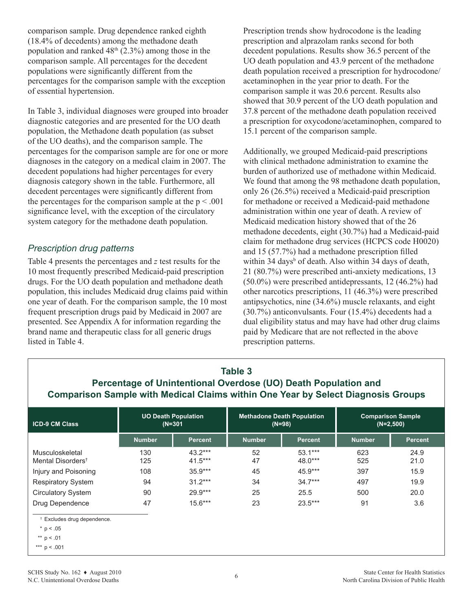comparison sample. Drug dependence ranked eighth (18.4% of decedents) among the methadone death population and ranked  $48<sup>th</sup>$  (2.3%) among those in the comparison sample. All percentages for the decedent populations were significantly different from the percentages for the comparison sample with the exception of essential hypertension.

In Table 3, individual diagnoses were grouped into broader diagnostic categories and are presented for the UO death population, the Methadone death population (as subset of the UO deaths), and the comparison sample. The percentages for the comparison sample are for one or more diagnoses in the category on a medical claim in 2007. The decedent populations had higher percentages for every diagnosis category shown in the table. Furthermore, all decedent percentages were significantly different from the percentages for the comparison sample at the  $p < .001$ significance level, with the exception of the circulatory system category for the methadone death population.

## *Prescription drug patterns*

Table 4 presents the percentages and *z* test results for the 10 most frequently prescribed Medicaid-paid prescription drugs. For the UO death population and methadone death population, this includes Medicaid drug claims paid within one year of death. For the comparison sample, the 10 most frequent prescription drugs paid by Medicaid in 2007 are presented. See Appendix A for information regarding the brand name and therapeutic class for all generic drugs listed in Table 4.

Prescription trends show hydrocodone is the leading prescription and alprazolam ranks second for both decedent populations. Results show 36.5 percent of the UO death population and 43.9 percent of the methadone death population received a prescription for hydrocodone/ acetaminophen in the year prior to death. For the comparison sample it was 20.6 percent. Results also showed that 30.9 percent of the UO death population and 37.8 percent of the methadone death population received a prescription for oxycodone/acetaminophen, compared to 15.1 percent of the comparison sample.

Additionally, we grouped Medicaid-paid prescriptions with clinical methadone administration to examine the burden of authorized use of methadone within Medicaid. We found that among the 98 methadone death population, only 26 (26.5%) received a Medicaid-paid prescription for methadone or received a Medicaid-paid methadone administration within one year of death. A review of Medicaid medication history showed that of the 26 methadone decedents, eight (30.7%) had a Medicaid-paid claim for methadone drug services (HCPCS code H0020) and 15 (57.7%) had a methadone prescription filled within 34 days<sup>b</sup> of death. Also within 34 days of death, 21 (80.7%) were prescribed anti-anxiety medications, 13 (50.0%) were prescribed antidepressants, 12 (46.2%) had other narcotics prescriptions, 11 (46.3%) were prescribed antipsychotics, nine (34.6%) muscle relaxants, and eight (30.7%) anticonvulsants. Four (15.4%) decedents had a dual eligibility status and may have had other drug claims paid by Medicare that are not reflected in the above prescription patterns.

| Table 3<br>Percentage of Unintentional Overdose (UO) Death Population and<br><b>Comparison Sample with Medical Claims within One Year by Select Diagnosis Groups</b> |               |                        |               |                      |               |                |
|----------------------------------------------------------------------------------------------------------------------------------------------------------------------|---------------|------------------------|---------------|----------------------|---------------|----------------|
| <b>UO Death Population</b><br><b>Methadone Death Population</b><br><b>Comparison Sample</b><br><b>ICD-9 CM Class</b><br>$(N=301)$<br>$(N=98)$<br>$(N=2,500)$         |               |                        |               |                      |               |                |
|                                                                                                                                                                      | <b>Number</b> | <b>Percent</b>         | <b>Number</b> | <b>Percent</b>       | <b>Number</b> | <b>Percent</b> |
| Musculoskeletal<br>Mental Disorders <sup>t</sup>                                                                                                                     | 130<br>125    | $43.2***$<br>$41.5***$ | 52<br>47      | $53.1***$<br>48.0*** | 623<br>525    | 24.9<br>21.0   |
| Injury and Poisoning                                                                                                                                                 | 108           | $35.9***$              | 45            | $45.9***$            | 397           | 15.9           |
| <b>Respiratory System</b>                                                                                                                                            | 94            | $31.2***$              | 34            | $34.7***$            | 497           | 19.9           |
| <b>Circulatory System</b>                                                                                                                                            | 90            | $29.9***$              | 25            | 25.5                 | 500           | 20.0           |
| Drug Dependence                                                                                                                                                      | 47            | $15.6***$              | 23            | $23.5***$            | 91            | 3.6            |
| <sup>†</sup> Excludes drug dependence.                                                                                                                               |               |                        |               |                      |               |                |
| $*$ p < .05<br>** $p < .01$                                                                                                                                          |               |                        |               |                      |               |                |
| *** $p < .001$                                                                                                                                                       |               |                        |               |                      |               |                |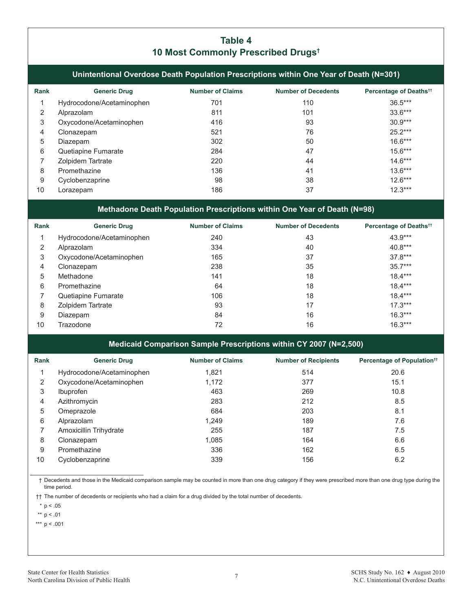## **Table 4 10 Most Commonly Prescribed Drugs†**

**Unintentional Overdose Death Population Prescriptions within One Year of Death (N=301)**

| Rank | <b>Generic Drug</b>       | <b>Number of Claims</b> | <b>Number of Decedents</b> | Percentage of Deaths <sup>††</sup> |
|------|---------------------------|-------------------------|----------------------------|------------------------------------|
|      | Hydrocodone/Acetaminophen | 701                     | 110                        | $36.5***$                          |
| 2    | Alprazolam                | 811                     | 101                        | $33.6***$                          |
| 3    | Oxycodone/Acetaminophen   | 416                     | 93                         | $30.9***$                          |
| 4    | Clonazepam                | 521                     | 76                         | $25.2***$                          |
| 5    | Diazepam                  | 302                     | 50                         | $16.6***$                          |
| 6    | Quetiapine Fumarate       | 284                     | 47                         | $15.6***$                          |
|      | Zolpidem Tartrate         | 220                     | 44                         | $14.6***$                          |
| 8    | Promethazine              | 136                     | 41                         | $13.6***$                          |
| 9    | Cyclobenzaprine           | 98                      | 38                         | $12.6***$                          |
| 10   | Lorazepam                 | 186                     | 37                         | $12.3***$                          |

#### **Methadone Death Population Prescriptions within One Year of Death (N=98)**

| Rank | <b>Generic Drug</b>       | <b>Number of Claims</b> | <b>Number of Decedents</b> | Percentage of Deaths <sup>11</sup> |
|------|---------------------------|-------------------------|----------------------------|------------------------------------|
|      | Hydrocodone/Acetaminophen | 240                     | 43                         | 43.9***                            |
| 2    | Alprazolam                | 334                     | 40                         | $40.8***$                          |
| 3    | Oxycodone/Acetaminophen   | 165                     | 37                         | $37.8***$                          |
| 4    | Clonazepam                | 238                     | 35                         | $35.7***$                          |
| 5    | Methadone                 | 141                     | 18                         | $18.4***$                          |
| 6    | Promethazine              | 64                      | 18                         | $18.4***$                          |
|      | Quetiapine Fumarate       | 106                     | 18                         | $18.4***$                          |
| 8    | Zolpidem Tartrate         | 93                      | 17                         | $17.3***$                          |
| 9    | Diazepam                  | 84                      | 16                         | $16.3***$                          |
| 10   | Trazodone                 | 72                      | 16                         | $16.3***$                          |

#### **Medicaid Comparison Sample Prescriptions within CY 2007 (N=2,500)**

| Rank | <b>Generic Drug</b>       | <b>Number of Claims</b> | <b>Number of Recipients</b> | Percentage of Population <sup>††</sup> |
|------|---------------------------|-------------------------|-----------------------------|----------------------------------------|
|      | Hydrocodone/Acetaminophen | 1,821                   | 514                         | 20.6                                   |
| 2    | Oxycodone/Acetaminophen   | 1,172                   | 377                         | 15.1                                   |
| 3    | <i>Ibuprofen</i>          | 463                     | 269                         | 10.8                                   |
| 4    | Azithromycin              | 283                     | 212                         | 8.5                                    |
| 5    | Omeprazole                | 684                     | 203                         | 8.1                                    |
| 6    | Alprazolam                | 1,249                   | 189                         | 7.6                                    |
|      | Amoxicillin Trihydrate    | 255                     | 187                         | 7.5                                    |
| 8    | Clonazepam                | 1,085                   | 164                         | 6.6                                    |
| 9    | Promethazine              | 336                     | 162                         | 6.5                                    |
| 10   | Cyclobenzaprine           | 339                     | 156                         | 6.2                                    |

† Decedents and those in the Medicaid comparison sample may be counted in more than one drug category if they were prescribed more than one drug type during the time period.

†† The number of decedents or recipients who had a claim for a drug divided by the total number of decedents.

 $*$  p < .05

\*\*  $p < .01$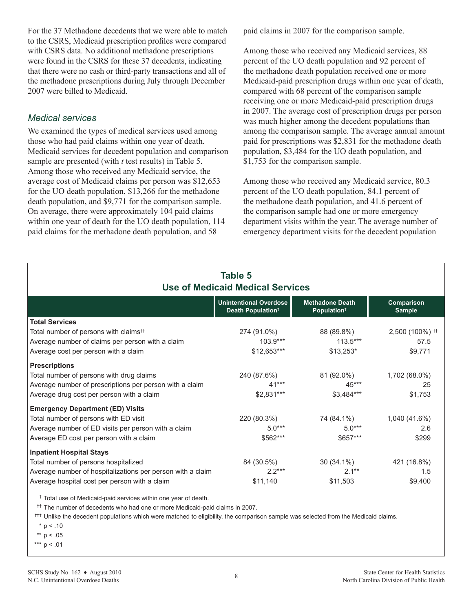For the 37 Methadone decedents that we were able to match to the CSRS, Medicaid prescription profiles were compared with CSRS data. No additional methadone prescriptions were found in the CSRS for these 37 decedents, indicating that there were no cash or third-party transactions and all of the methadone prescriptions during July through December 2007 were billed to Medicaid.

#### *Medical services*

We examined the types of medical services used among those who had paid claims within one year of death. Medicaid services for decedent population and comparison sample are presented (with *t* test results) in Table 5. Among those who received any Medicaid service, the average cost of Medicaid claims per person was \$12,653 for the UO death population, \$13,266 for the methadone death population, and \$9,771 for the comparison sample. On average, there were approximately 104 paid claims within one year of death for the UO death population, 114 paid claims for the methadone death population, and 58

paid claims in 2007 for the comparison sample.

Among those who received any Medicaid services, 88 percent of the UO death population and 92 percent of the methadone death population received one or more Medicaid-paid prescription drugs within one year of death, compared with 68 percent of the comparison sample receiving one or more Medicaid-paid prescription drugs in 2007. The average cost of prescription drugs per person was much higher among the decedent populations than among the comparison sample. The average annual amount paid for prescriptions was \$2,831 for the methadone death population, \$3,484 for the UO death population, and \$1,753 for the comparison sample.

Among those who received any Medicaid service, 80.3 percent of the UO death population, 84.1 percent of the methadone death population, and 41.6 percent of the comparison sample had one or more emergency department visits within the year. The average number of emergency department visits for the decedent population

| Table 5<br><b>Use of Medicaid Medical Services</b>         |                                                                |                                                   |                             |  |  |
|------------------------------------------------------------|----------------------------------------------------------------|---------------------------------------------------|-----------------------------|--|--|
|                                                            | <b>Unintentional Overdose</b><br>Death Population <sup>t</sup> | <b>Methadone Death</b><br>Population <sup>†</sup> | Comparison<br><b>Sample</b> |  |  |
| <b>Total Services</b>                                      |                                                                |                                                   |                             |  |  |
| Total number of persons with claims <sup>tt</sup>          | 274 (91.0%)                                                    | 88 (89.8%)                                        | 2,500 (100%) <sup>†††</sup> |  |  |
| Average number of claims per person with a claim           | $103.9***$                                                     | $113.5***$                                        | 57.5                        |  |  |
| Average cost per person with a claim                       | $$12,653***$                                                   | $$13,253*$                                        | \$9,771                     |  |  |
| <b>Prescriptions</b>                                       |                                                                |                                                   |                             |  |  |
| Total number of persons with drug claims                   | 240 (87.6%)                                                    | 81 (92.0%)                                        | 1,702 (68.0%)               |  |  |
| Average number of prescriptions per person with a claim    | $41***$                                                        | $45***$                                           | 25                          |  |  |
| Average drug cost per person with a claim                  | $$2,831***$                                                    | $$3,484***$                                       | \$1,753                     |  |  |
| <b>Emergency Department (ED) Visits</b>                    |                                                                |                                                   |                             |  |  |
| Total number of persons with ED visit                      | 220 (80.3%)                                                    | 74 (84.1%)                                        | 1,040 (41.6%)               |  |  |
| Average number of ED visits per person with a claim        | $5.0***$                                                       | $5.0***$                                          | 2.6                         |  |  |
| Average ED cost per person with a claim                    | \$562***                                                       | $$657***$                                         | \$299                       |  |  |
| <b>Inpatient Hospital Stays</b>                            |                                                                |                                                   |                             |  |  |
| Total number of persons hospitalized                       | 84 (30.5%)                                                     | 30 (34.1%)                                        | 421 (16.8%)                 |  |  |
| Average number of hospitalizations per person with a claim | $2.2***$                                                       | $2.1***$                                          | 1.5                         |  |  |
| Average hospital cost per person with a claim              | \$11,140                                                       | \$11,503                                          | \$9,400                     |  |  |

**†** Total use of Medicaid-paid services within one year of death.

**††** The number of decedents who had one or more Medicaid-paid claims in 2007.

**†††** Unlike the decedent populations which were matched to eligibility, the comparison sample was selected from the Medicaid claims.

 $*$  p < .10

\*\*  $p < .05$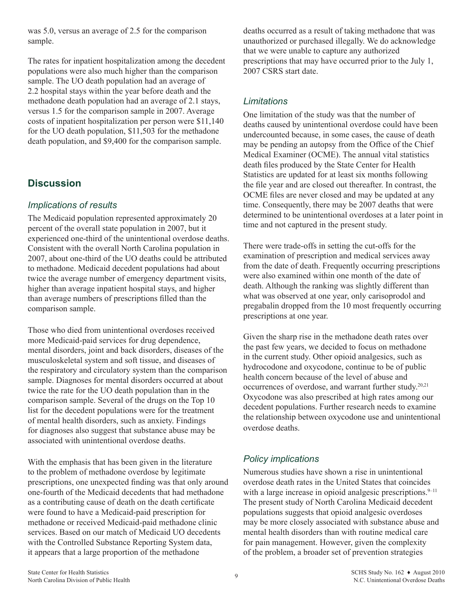was 5.0, versus an average of 2.5 for the comparison sample.

The rates for inpatient hospitalization among the decedent populations were also much higher than the comparison sample. The UO death population had an average of 2.2 hospital stays within the year before death and the methadone death population had an average of 2.1 stays, versus 1.5 for the comparison sample in 2007. Average costs of inpatient hospitalization per person were \$11,140 for the UO death population, \$11,503 for the methadone death population, and \$9,400 for the comparison sample.

## **Discussion**

## *Implications of results*

The Medicaid population represented approximately 20 percent of the overall state population in 2007, but it experienced one-third of the unintentional overdose deaths. Consistent with the overall North Carolina population in 2007, about one-third of the UO deaths could be attributed to methadone. Medicaid decedent populations had about twice the average number of emergency department visits, higher than average inpatient hospital stays, and higher than average numbers of prescriptions filled than the comparison sample.

Those who died from unintentional overdoses received more Medicaid-paid services for drug dependence, mental disorders, joint and back disorders, diseases of the musculoskeletal system and soft tissue, and diseases of the respiratory and circulatory system than the comparison sample. Diagnoses for mental disorders occurred at about twice the rate for the UO death population than in the comparison sample. Several of the drugs on the Top 10 list for the decedent populations were for the treatment of mental health disorders, such as anxiety. Findings for diagnoses also suggest that substance abuse may be associated with unintentional overdose deaths.

With the emphasis that has been given in the literature to the problem of methadone overdose by legitimate prescriptions, one unexpected finding was that only around one-fourth of the Medicaid decedents that had methadone as a contributing cause of death on the death certificate were found to have a Medicaid-paid prescription for methadone or received Medicaid-paid methadone clinic services. Based on our match of Medicaid UO decedents with the Controlled Substance Reporting System data, it appears that a large proportion of the methadone

deaths occurred as a result of taking methadone that was unauthorized or purchased illegally. We do acknowledge that we were unable to capture any authorized prescriptions that may have occurred prior to the July 1, 2007 CSRS start date.

## *Limitations*

One limitation of the study was that the number of deaths caused by unintentional overdose could have been undercounted because, in some cases, the cause of death may be pending an autopsy from the Office of the Chief Medical Examiner (OCME). The annual vital statistics death files produced by the State Center for Health Statistics are updated for at least six months following the file year and are closed out thereafter. In contrast, the OCME files are never closed and may be updated at any time. Consequently, there may be 2007 deaths that were determined to be unintentional overdoses at a later point in time and not captured in the present study.

There were trade-offs in setting the cut-offs for the examination of prescription and medical services away from the date of death. Frequently occurring prescriptions were also examined within one month of the date of death. Although the ranking was slightly different than what was observed at one year, only carisoprodol and pregabalin dropped from the 10 most frequently occurring prescriptions at one year.

Given the sharp rise in the methadone death rates over the past few years, we decided to focus on methadone in the current study. Other opioid analgesics, such as hydrocodone and oxycodone, continue to be of public health concern because of the level of abuse and occurrences of overdose, and warrant further study.20,21 Oxycodone was also prescribed at high rates among our decedent populations. Further research needs to examine the relationship between oxycodone use and unintentional overdose deaths.

## *Policy implications*

Numerous studies have shown a rise in unintentional overdose death rates in the United States that coincides with a large increase in opioid analgesic prescriptions. $9-11$ The present study of North Carolina Medicaid decedent populations suggests that opioid analgesic overdoses may be more closely associated with substance abuse and mental health disorders than with routine medical care for pain management. However, given the complexity of the problem, a broader set of prevention strategies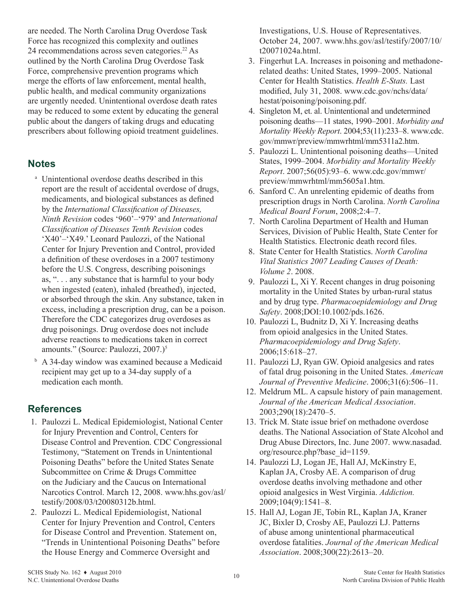are needed. The North Carolina Drug Overdose Task Force has recognized this complexity and outlines 24 recommendations across seven categories.<sup>22</sup> As outlined by the North Carolina Drug Overdose Task Force, comprehensive prevention programs which merge the efforts of law enforcement, mental health, public health, and medical community organizations are urgently needed. Unintentional overdose death rates may be reduced to some extent by educating the general public about the dangers of taking drugs and educating prescribers about following opioid treatment guidelines.

## **Notes**

- <sup>a</sup> Unintentional overdose deaths described in this report are the result of accidental overdose of drugs, medicaments, and biological substances as defined by the *International Classification of Diseases, Ninth Revision* codes '960'–'979' and *International Classification of Diseases Tenth Revision* codes 'X40'–'X49.' Leonard Paulozzi, of the National Center for Injury Prevention and Control, provided a definition of these overdoses in a 2007 testimony before the U.S. Congress, describing poisonings as, ". . . any substance that is harmful to your body when ingested (eaten), inhaled (breathed), injected, or absorbed through the skin. Any substance, taken in excess, including a prescription drug, can be a poison. Therefore the CDC categorizes drug overdoses as drug poisonings. Drug overdose does not include adverse reactions to medications taken in correct amounts." (Source: Paulozzi, 2007.)<sup>5</sup>
- **b** A 34-day window was examined because a Medicaid recipient may get up to a 34-day supply of a medication each month.

## **References**

- 1. Paulozzi L. Medical Epidemiologist, National Center for Injury Prevention and Control, Centers for Disease Control and Prevention. CDC Congressional Testimony, "Statement on Trends in Unintentional Poisoning Deaths" before the United States Senate Subcommittee on Crime & Drugs Committee on the Judiciary and the Caucus on International Narcotics Control. March 12, 2008. [www.hhs.gov/asl/](www.hhs.gov/asl/testify/2008/03/t20080312b.html) [testify/2008/03/t20080312b.html](www.hhs.gov/asl/testify/2008/03/t20080312b.html).
- 2. Paulozzi L. Medical Epidemiologist, National Center for Injury Prevention and Control, Centers for Disease Control and Prevention. Statement on, "Trends in Unintentional Poisoning Deaths" before the House Energy and Commerce Oversight and

Investigations, U.S. House of Representatives. October 24, 2007. [www.hhs.gov/asl/testify/2007/10/](www.hhs.gov/asl/testify/2007/10/t20071024a.html) [t20071024a.html.](www.hhs.gov/asl/testify/2007/10/t20071024a.html)

- 3. Fingerhut LA. Increases in poisoning and methadonerelated deaths: United States, 1999–2005. National Center for Health Statistics. *Health E-Stats.* Last modified, July 31, 2008. [www.cdc.gov/nchs/data/](www.cdc.gov/nchs/data/hestat/poisoning/poisoning.pdf) [hestat/poisoning/poisoning.pdf.](www.cdc.gov/nchs/data/hestat/poisoning/poisoning.pdf)
- 4. Singleton M, et. al. Unintentional and undetermined poisoning deaths—11 states, 1990–2001. *Morbidity and Mortality Weekly Report*. 2004;53(11):233–8. [www.cdc.](www.cdc.gov/mmwr/preview/mmwrhtml/mm5311a2.htm) [gov/mmwr/preview/mmwrhtml/mm5311a2.htm](www.cdc.gov/mmwr/preview/mmwrhtml/mm5311a2.htm).
- 5. Paulozzi L. Unintentional poisoning deaths—United States, 1999–2004. *Morbidity and Mortality Weekly Report*. 2007;56(05):93–6. [www.cdc.gov/mmwr/](www.cdc.gov/mmwr/preview/mmwrhtml/mm5605a1.htm) [preview/mmwrhtml/mm5605a1.htm.](www.cdc.gov/mmwr/preview/mmwrhtml/mm5605a1.htm)
- 6. Sanford C. An unrelenting epidemic of deaths from prescription drugs in North Carolina. *North Carolina Medical Board Forum*, 2008;2:4–7.
- 7. North Carolina Department of Health and Human Services, Division of Public Health, State Center for Health Statistics. Electronic death record files.
- 8. State Center for Health Statistics. *North Carolina Vital Statistics 2007 Leading Causes of Death: Volume 2*. 2008.
- 9. Paulozzi L, Xi Y. Recent changes in drug poisoning mortality in the United States by urban-rural status and by drug type. *Pharmacoepidemiology and Drug Safety*. 2008;DOI:10.1002/pds.1626.
- 10. Paulozzi L, Budnitz D, Xi Y. Increasing deaths from opioid analgesics in the United States. *Pharmacoepidemiology and Drug Safety*. 2006;15:618–27.
- 11. Paulozzi LJ, Ryan GW. Opioid analgesics and rates of fatal drug poisoning in the United States. *American Journal of Preventive Medicine*. 2006;31(6):506–11.
- 12. Meldrum ML. A capsule history of pain management. *Journal of the American Medical Association*. 2003;290(18):2470–5.
- 13. Trick M. State issue brief on methadone overdose deaths. The National Association of State Alcohol and Drug Abuse Directors, Inc. June 2007. [www.nasadad.](www.nasadad.org/resource.php?base_id=1159) [org/resource.php?base\\_id=1159](www.nasadad.org/resource.php?base_id=1159).
- 14. Paulozzi LJ, Logan JE, Hall AJ, McKinstry E, Kaplan JA, Crosby AE. A comparison of drug overdose deaths involving methadone and other opioid analgesics in West Virginia. *Addiction.* 2009;104(9):1541–8.
- 15. Hall AJ, Logan JE, Tobin RL, Kaplan JA, Kraner JC, Bixler D, Crosby AE, Paulozzi LJ. Patterns of abuse among unintentional pharmaceutical overdose fatalities. *Journal of the American Medical Association*. 2008;300(22):2613–20.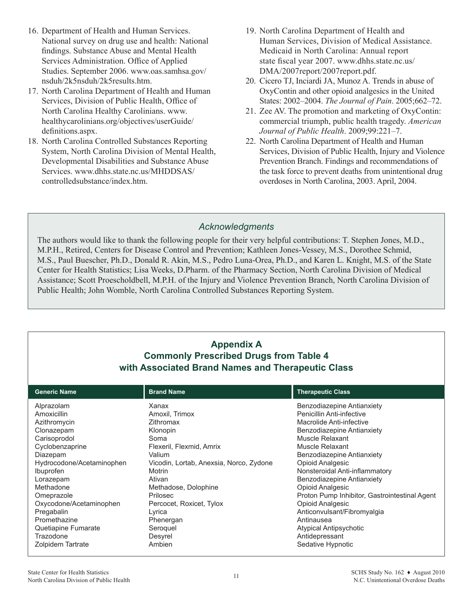- 16. Department of Health and Human Services. National survey on drug use and health: National findings. Substance Abuse and Mental Health Services Administration. Office of Applied Studies. September 2006. [www.oas.samhsa.gov/](www.oas.samhsa.gov/nsduh/2k5nsduh/2k5results.htm) [nsduh/2k5nsduh/2k5results.ht](www.oas.samhsa.gov/nsduh/2k5nsduh/2k5results.htm)m.
- 17. North Carolina Department of Health and Human Services, Division of Public Health, Office of North Carolina Healthy Carolinians. [www.](www.healthycarolinians.org/objectives/userGuide/definitions.aspx) [healthycarolinians.org/objectives/userGuide/](www.healthycarolinians.org/objectives/userGuide/definitions.aspx) [definitions.asp](www.healthycarolinians.org/objectives/userGuide/definitions.aspx)x.
- 18. North Carolina Controlled Substances Reporting System, North Carolina Division of Mental Health, Developmental Disabilities and Substance Abuse Services. [www.dhhs.state.nc.us/MHDDSAS/](www.dhhs.state.nc.us/MHDDSAS/controlledsubstance/index.htm) [controlledsubstance/index.htm.](www.dhhs.state.nc.us/MHDDSAS/controlledsubstance/index.htm)
- 19. North Carolina Department of Health and Human Services, Division of Medical Assistance. Medicaid in North Carolina: Annual report state fiscal year 2007. [www.dhhs.state.nc.us/](www.dhhs.state.nc.us/DMA/2007report/2007report.pdf) [DMA/2007report/2007report.pdf.](www.dhhs.state.nc.us/DMA/2007report/2007report.pdf)
- 20. Cicero TJ, Inciardi JA, Munoz A. Trends in abuse of OxyContin and other opioid analgesics in the United States: 2002–2004. *The Journal of Pain*. 2005;662–72.
- 21. Zee AV. The promotion and marketing of OxyContin: commercial triumph, public health tragedy. *American Journal of Public Health*. 2009;99:221–7.
- 22. North Carolina Department of Health and Human Services, Division of Public Health, Injury and Violence Prevention Branch. Findings and recommendations of the task force to prevent deaths from unintentional drug overdoses in North Carolina, 2003. April, 2004.

## *Acknowledgments*

The authors would like to thank the following people for their very helpful contributions: T. Stephen Jones, M.D., M.P.H., Retired, Centers for Disease Control and Prevention; Kathleen Jones-Vessey, M.S., Dorothee Schmid, M.S., Paul Buescher, Ph.D., Donald R. Akin, M.S., Pedro Luna-Orea, Ph.D., and Karen L. Knight, M.S. of the State Center for Health Statistics; Lisa Weeks, D.Pharm. of the Pharmacy Section, North Carolina Division of Medical Assistance; Scott Proescholdbell, M.P.H. of the Injury and Violence Prevention Branch, North Carolina Division of Public Health; John Womble, North Carolina Controlled Substances Reporting System.

| <b>Appendix A</b><br><b>Commonly Prescribed Drugs from Table 4</b><br>with Associated Brand Names and Therapeutic Class                                                                                                                                                                                    |                                                                                                                                                                                                                                                                                       |                                                                                                                                                                                                                                                                                                                                                                                                                                                                                         |  |  |
|------------------------------------------------------------------------------------------------------------------------------------------------------------------------------------------------------------------------------------------------------------------------------------------------------------|---------------------------------------------------------------------------------------------------------------------------------------------------------------------------------------------------------------------------------------------------------------------------------------|-----------------------------------------------------------------------------------------------------------------------------------------------------------------------------------------------------------------------------------------------------------------------------------------------------------------------------------------------------------------------------------------------------------------------------------------------------------------------------------------|--|--|
| <b>Generic Name</b>                                                                                                                                                                                                                                                                                        | <b>Brand Name</b>                                                                                                                                                                                                                                                                     | <b>Therapeutic Class</b>                                                                                                                                                                                                                                                                                                                                                                                                                                                                |  |  |
| Alprazolam<br>Amoxicillin<br>Azithromycin<br>Clonazepam<br>Carisoprodol<br>Cyclobenzaprine<br>Diazepam<br>Hydrocodone/Acetaminophen<br>Ibuprofen<br>Lorazepam<br>Methadone<br>Omeprazole<br>Oxycodone/Acetaminophen<br>Pregabalin<br>Promethazine<br>Quetiapine Fumarate<br>Trazodone<br>Zolpidem Tartrate | Xanax<br>Amoxil, Trimox<br>Zithromax<br>Klonopin<br>Soma<br>Flexeril, Flexmid, Amrix<br>Valium<br>Vicodin, Lortab, Anexsia, Norco, Zydone<br>Motrin<br>Ativan<br>Methadose, Dolophine<br>Prilosec<br>Percocet, Roxicet, Tylox<br>Lyrica<br>Phenergan<br>Seroquel<br>Desyrel<br>Ambien | Benzodiazepine Antianxiety<br>Penicillin Anti-infective<br>Macrolide Anti-infective<br>Benzodiazepine Antianxiety<br>Muscle Relaxant<br>Muscle Relaxant<br>Benzodiazepine Antianxiety<br>Opioid Analgesic<br>Nonsteroidal Anti-inflammatory<br>Benzodiazepine Antianxiety<br>Opioid Analgesic<br>Proton Pump Inhibitor, Gastrointestinal Agent<br><b>Opioid Analgesic</b><br>Anticonvulsant/Fibromyalgia<br>Antinausea<br>Atypical Antipsychotic<br>Antidepressant<br>Sedative Hypnotic |  |  |